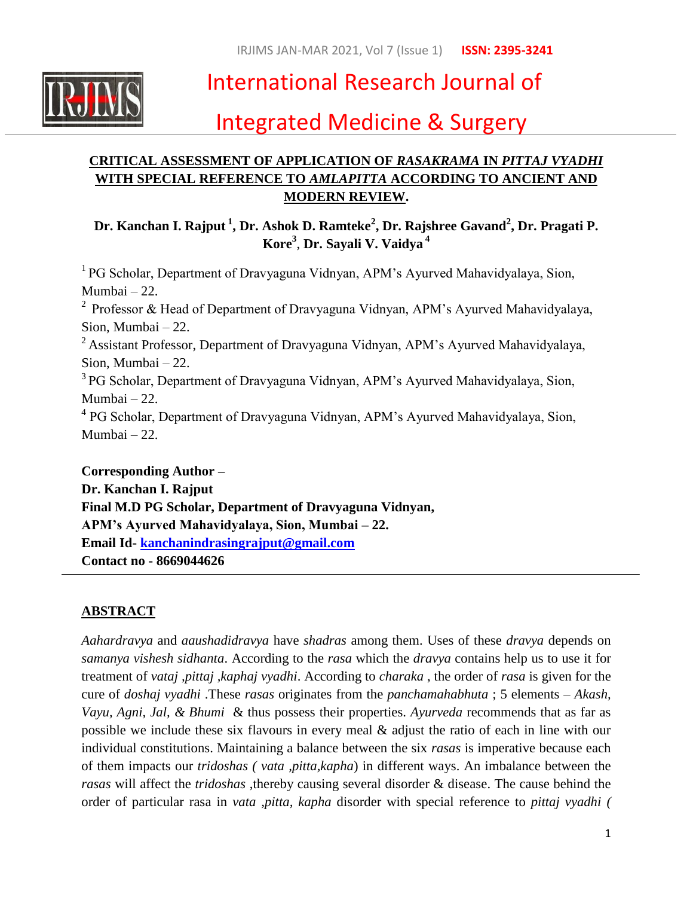

# International Research Journal of

# Integrated Medicine & Surgery

# **CRITICAL ASSESSMENT OF APPLICATION OF** *RASAKRAMA* **IN** *PITTAJ VYADHI* **WITH SPECIAL REFERENCE TO** *AMLAPITTA* **ACCORDING TO ANCIENT AND MODERN REVIEW.**

**Dr. Kanchan I. Rajput <sup>1</sup> , Dr. Ashok D. Ramteke<sup>2</sup> , Dr. Rajshree Gavand<sup>2</sup> , Dr. Pragati P. Kore<sup>3</sup>** , **Dr. Sayali V. Vaidya <sup>4</sup>**

<sup>1</sup> PG Scholar, Department of Dravyaguna Vidnyan, APM's Ayurved Mahavidyalaya, Sion, Mumbai – 22. <sup>2</sup> Professor & Head of Department of Dravyaguna Vidnyan, APM's Ayurved Mahavidyalaya, Sion, Mumbai – 22. <sup>2</sup> Assistant Professor, Department of Dravyaguna Vidnyan, APM's Ayurved Mahavidyalaya, Sion, Mumbai – 22. <sup>3</sup> PG Scholar, Department of Dravyaguna Vidnyan, APM's Ayurved Mahavidyalaya, Sion, Mumbai – 22. <sup>4</sup> PG Scholar, Department of Dravyaguna Vidnyan, APM's Ayurved Mahavidyalaya, Sion, Mumbai – 22.

**Corresponding Author – Dr. Kanchan I. Rajput Final M.D PG Scholar, Department of Dravyaguna Vidnyan, APM's Ayurved Mahavidyalaya, Sion, Mumbai – 22. Email Id- [kanchanindrasingrajput@gmail.com](mailto:kanchanindrasingrajput@gmail.com) Contact no - 8669044626**

## **ABSTRACT**

*Aahardravya* and *aaushadidravya* have *shadras* among them. Uses of these *dravya* depends on *samanya vishesh sidhanta*. According to the *rasa* which the *dravya* contains help us to use it for treatment of *vataj ,pittaj ,kaphaj vyadhi*. According to *charaka* , the order of *rasa* is given for the cure of *doshaj vyadhi* .These *rasas* originates from the *panchamahabhuta* ; 5 elements – *Akash, Vayu, Agni, Jal, & Bhumi* & thus possess their properties. *Ayurveda* recommends that as far as possible we include these six flavours in every meal & adjust the ratio of each in line with our individual constitutions. Maintaining a balance between the six *rasas* is imperative because each of them impacts our *tridoshas ( vata ,pitta,kapha*) in different ways. An imbalance between the *rasas* will affect the *tridoshas* ,thereby causing several disorder & disease. The cause behind the order of particular rasa in *vata ,pitta, kapha* disorder with special reference to *pittaj vyadhi (*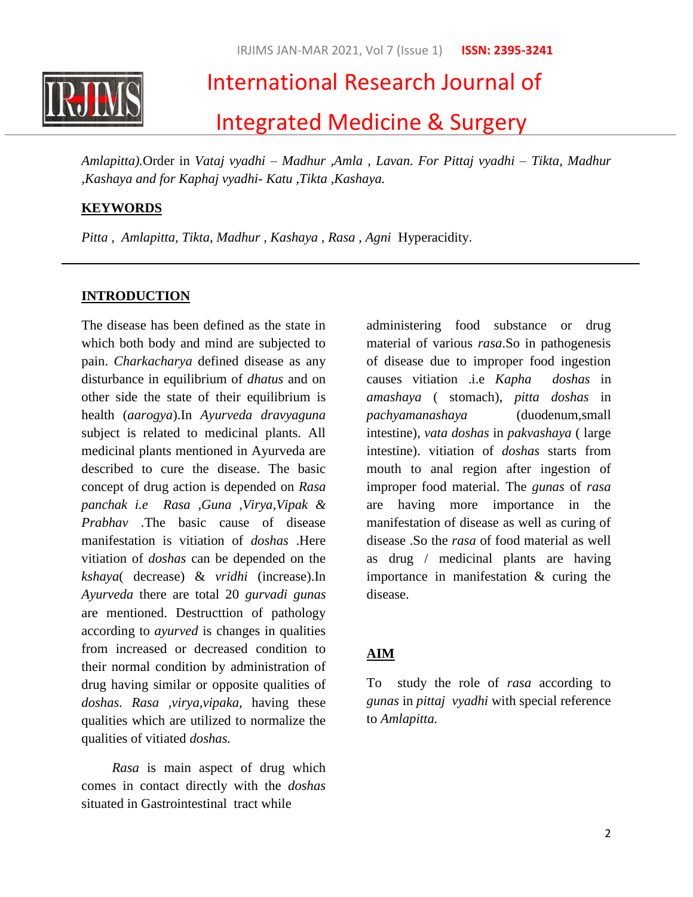

# International Research Journal of

# Integrated Medicine & Surgery

*Amlapitta).*Order in *Vataj vyadhi – Madhur ,Amla , Lavan. For Pittaj vyadhi – Tikta, Madhur ,Kashaya and for Kaphaj vyadhi- Katu ,Tikta ,Kashaya.*

## **KEYWORDS**

*Pitta , Amlapitta, Tikta, Madhur , Kashaya , Rasa , Agni* Hyperacidity.

## **INTRODUCTION**

The disease has been defined as the state in which both body and mind are subjected to pain. *Charkacharya* defined disease as any disturbance in equilibrium of *dhatus* and on other side the state of their equilibrium is health (*aarogya*).In *Ayurveda dravyaguna* subject is related to medicinal plants. All medicinal plants mentioned in Ayurveda are described to cure the disease. The basic concept of drug action is depended on *Rasa panchak i.e Rasa ,Guna ,Virya,Vipak & Prabhav .*The basic cause of disease manifestation is vitiation of *doshas* .Here vitiation of *doshas* can be depended on the *kshaya*( decrease) & *vridhi* (increase).In *Ayurveda* there are total 20 *gurvadi gunas* are mentioned. Destructtion of pathology according to *ayurved* is changes in qualities from increased or decreased condition to their normal condition by administration of drug having similar or opposite qualities of *doshas. Rasa ,virya,vipaka,* having these qualities which are utilized to normalize the qualities of vitiated *doshas.*

 *Rasa* is main aspect of drug which comes in contact directly with the *doshas* situated in Gastrointestinal tract while

administering food substance or drug material of various *rasa*.So in pathogenesis of disease due to improper food ingestion causes vitiation .i.e *Kapha doshas* in *amashaya* ( stomach), *pitta doshas* in *pachyamanashaya* (duodenum,small intestine), *vata doshas* in *pakvashaya* ( large intestine). vitiation of *doshas* starts from mouth to anal region after ingestion of improper food material. The *gunas* of *rasa* are having more importance in the manifestation of disease as well as curing of disease .So the *rasa* of food material as well as drug / medicinal plants are having importance in manifestation & curing the disease.

## **AIM**

To study the role of *rasa* according to *gunas* in *pittaj vyadhi* with special reference to *Amlapitta.*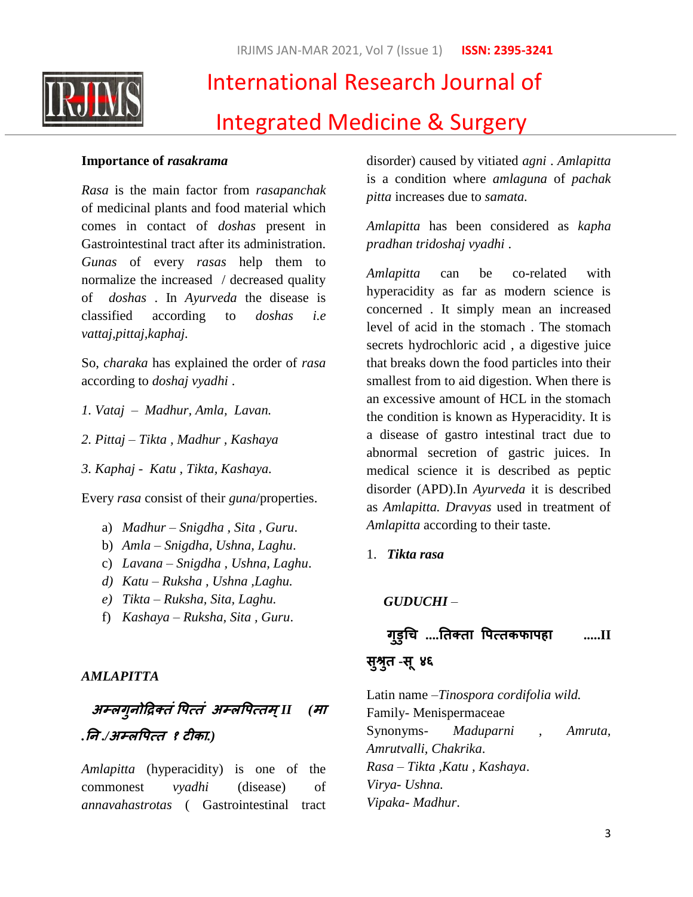

# International Research Journal of Integrated Medicine & Surgery

### **Importance of** *rasakrama*

*Rasa* is the main factor from *rasapanchak*  of medicinal plants and food material which comes in contact of *doshas* present in Gastrointestinal tract after its administration. *Gunas* of every *rasas* help them to normalize the increased / decreased quality of *doshas* . In *Ayurveda* the disease is classified according to *doshas i.e vattaj,pittaj,kaphaj.*

So, *charaka* has explained the order of *rasa* according to *doshaj vyadhi* .

- *1. Vataj Madhur, Amla, Lavan.*
- *2. Pittaj – Tikta , Madhur , Kashaya*
- *3. Kaphaj Katu , Tikta, Kashaya.*

Every *rasa* consist of their *guna*/properties.

- a) *Madhur – Snigdha , Sita , Guru*.
- b) *Amla – Snigdha, Ushna, Laghu*.
- c) *Lavana – Snigdha , Ushna, Laghu*.
- *d) Katu – Ruksha , Ushna ,Laghu.*
- *e) Tikta – Ruksha, Sita, Laghu.*
- f) *Kashaya – Ruksha, Sita , Guru*.

*AMLAPITTA*

# **अम्रगुनोद्रिक्तंपऩत्तं****अम्रपऩत्तभ ्***II (***भा** *.***नन** *./***अम्रपऩत्त****<sup>१</sup> टीका***.)*

*Amlapitta* (hyperacidity) is one of the commonest *vyadhi* (disease) of *annavahastrotas* ( Gastrointestinal tract disorder) caused by vitiated *agni* . *Amlapitta* is a condition where *amlaguna* of *pachak pitta* increases due to *samata.*

*Amlapitta* has been considered as *kapha pradhan tridoshaj vyadhi* .

*Amlapitta* can be co-related with hyperacidity as far as modern science is concerned . It simply mean an increased level of acid in the stomach . The stomach secrets hydrochloric acid , a digestive juice that breaks down the food particles into their smallest from to aid digestion. When there is an excessive amount of HCL in the stomach the condition is known as Hyperacidity. It is a disease of gastro intestinal tract due to abnormal secretion of gastric juices. In medical science it is described as peptic disorder (APD).In *Ayurveda* it is described as *Amlapitta. Dravyas* used in treatment of *Amlapitta* according to their taste.

1. *Tikta rasa*

## *GUDUCHI* –

# **गुडुचि ....नतक्ता पऩत्तकपाऩहा .....II**

# **सुश्रतु -स ू४६**

Latin name –*Tinospora cordifolia wild.* Family- Menispermaceae Synonyms- *Maduparni , Amruta, Amrutvalli, Chakrika*. *Rasa* – *Tikta ,Katu , Kashaya*. *Virya- Ushna. Vipaka- Madhur*.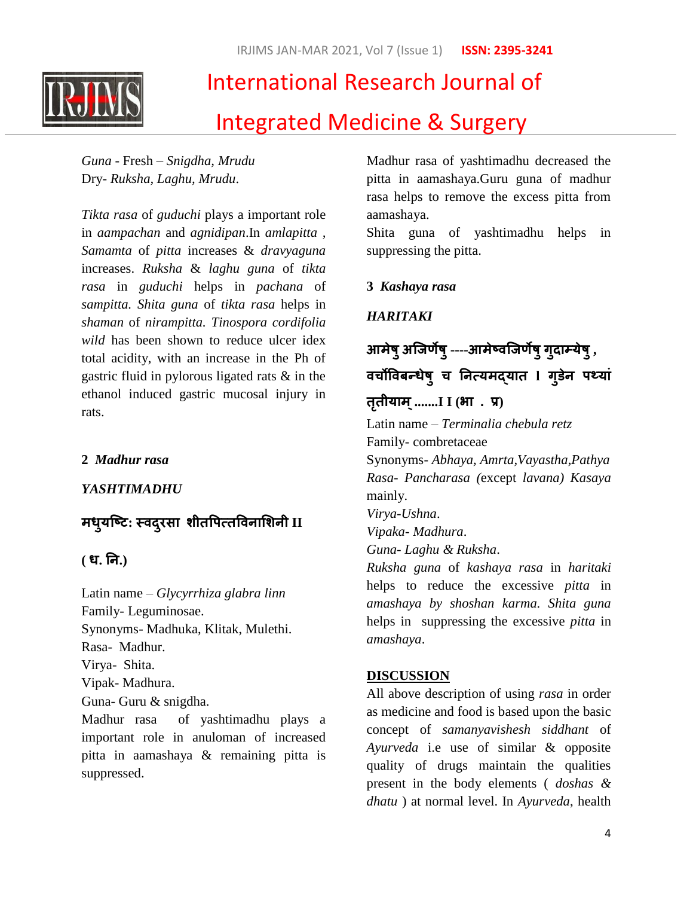IRJIMS JAN-MAR 2021, Vol 7 (Issue 1) **ISSN: 2395-3241**



# International Research Journal of Integrated Medicine & Surgery

*Guna* - Fresh – *Snigdha, Mrudu* Dry- *Ruksha, Laghu, Mrudu*.

*Tikta rasa* of *guduchi* plays a important role in *aampachan* and *agnidipan*.In *amlapitta , Samamta* of *pitta* increases & *dravyaguna* increases. *Ruksha* & *laghu guna* of *tikta rasa* in *guduchi* helps in *pachana* of *sampitta. Shita guna* of *tikta rasa* helps in *shaman* of *nirampitta. Tinospora cordifolia wild* has been shown to reduce ulcer idex total acidity, with an increase in the Ph of gastric fluid in pylorous ligated rats & in the ethanol induced gastric mucosal injury in rats.

## **2** *Madhur rasa*

*YASHTIMADHU*

# **भधमु ष्टट: स्वदयुसा शीतपऩत्तपवनाशशनी II**

### **( ध. नन.)**

Latin name – *Glycyrrhiza glabra linn* Family- Leguminosae. Synonyms- Madhuka, Klitak, Mulethi. Rasa- Madhur. Virya- Shita. Vipak- Madhura. Guna- Guru & snigdha. Madhur rasa of yashtimadhu plays a

important role in anuloman of increased pitta in aamashaya & remaining pitta is suppressed.

Madhur rasa of yashtimadhu decreased the pitta in aamashaya.Guru guna of madhur rasa helps to remove the excess pitta from aamashaya.

Shita guna of yashtimadhu helps in suppressing the pitta.

#### **3** *Kashaya rasa*

*HARITAKI*

**आभेषुअष्िर्णेषु----आभेटवष्िर्णेषुगुदाम्मेषु, विोपवफन्धेषु ि ननत्मभद्मात l गुडने ऩथमां**

#### **ततृ ीमाभ ्.......I I (बा . प्र)**

Latin name – *Terminalia chebula retz*  Family- combretaceae

Synonyms- *Abhaya, Amrta,Vayastha,Pathya Rasa- Pancharasa (*except *lavana) Kasaya* mainly.

*Virya-Ushna*.

*Vipaka- Madhura*.

*Guna- Laghu & Ruksha*.

*Ruksha guna* of *kashaya rasa* in *haritaki* helps to reduce the excessive *pitta* in *amashaya by shoshan karma. Shita guna* helps in suppressing the excessive *pitta* in *amashaya*.

#### **DISCUSSION**

All above description of using *rasa* in order as medicine and food is based upon the basic concept of *samanyavishesh siddhant* of *Ayurveda* i.e use of similar & opposite quality of drugs maintain the qualities present in the body elements ( *doshas & dhatu* ) at normal level. In *Ayurveda*, health